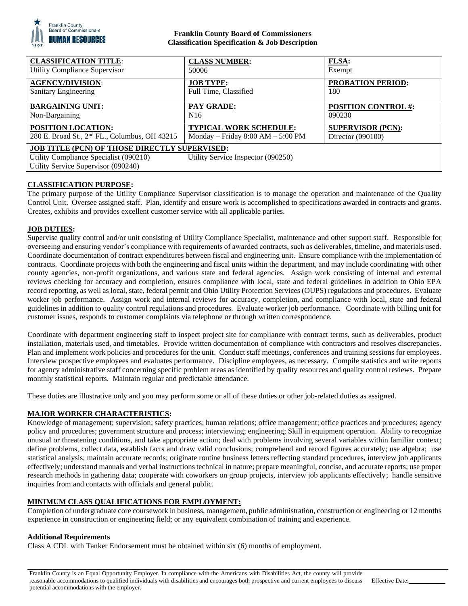

## **Franklin County Board of Commissioners Classification Specification & Job Description**

| <b>CLASSIFICATION TITLE:</b>                                                                                                                                         | <b>CLASS NUMBER:</b>                  | <b>FLSA:</b>               |
|----------------------------------------------------------------------------------------------------------------------------------------------------------------------|---------------------------------------|----------------------------|
| Utility Compliance Supervisor                                                                                                                                        | 50006                                 | Exempt                     |
| <b>AGENCY/DIVISION:</b>                                                                                                                                              | <b>JOB TYPE:</b>                      | <b>PROBATION PERIOD:</b>   |
| Sanitary Engineering                                                                                                                                                 | Full Time, Classified                 | 180                        |
| <b>BARGAINING UNIT:</b>                                                                                                                                              | <b>PAY GRADE:</b>                     | <b>POSITION CONTROL #:</b> |
| Non-Bargaining                                                                                                                                                       | N <sub>16</sub>                       | 090230                     |
| <b>POSITION LOCATION:</b>                                                                                                                                            | <b>TYPICAL WORK SCHEDULE:</b>         | <b>SUPERVISOR (PCN):</b>   |
| 280 E. Broad St., 2 <sup>nd</sup> FL., Columbus, OH 43215                                                                                                            | Monday – Friday $8:00$ AM – $5:00$ PM | Director (090100)          |
| JOB TITLE (PCN) OF THOSE DIRECTLY SUPERVISED:<br>Utility Compliance Specialist (090210)<br>Utility Service Inspector (090250)<br>Utility Service Supervisor (090240) |                                       |                            |

# **CLASSIFICATION PURPOSE:**

The primary purpose of the Utility Compliance Supervisor classification is to manage the operation and maintenance of the Quality Control Unit. Oversee assigned staff. Plan, identify and ensure work is accomplished to specifications awarded in contracts and grants. Creates, exhibits and provides excellent customer service with all applicable parties.

# **JOB DUTIES:**

Supervise quality control and/or unit consisting of Utility Compliance Specialist, maintenance and other support staff. Responsible for overseeing and ensuring vendor's compliance with requirements of awarded contracts, such as deliverables, timeline, and materials used. Coordinate documentation of contract expenditures between fiscal and engineering unit. Ensure compliance with the implementation of contracts. Coordinate projects with both the engineering and fiscal units within the department, and may include coordinating with other county agencies, non-profit organizations, and various state and federal agencies. Assign work consisting of internal and external reviews checking for accuracy and completion, ensures compliance with local, state and federal guidelines in addition to Ohio EPA record reporting, as well as local, state, federal permit and Ohio Utility Protection Services (OUPS) regulations and procedures. Evaluate worker job performance. Assign work and internal reviews for accuracy, completion, and compliance with local, state and federal guidelines in addition to quality control regulations and procedures. Evaluate worker job performance. Coordinate with billing unit for customer issues, responds to customer complaints via telephone or through written correspondence.

Coordinate with department engineering staff to inspect project site for compliance with contract terms, such as deliverables, product installation, materials used, and timetables. Provide written documentation of compliance with contractors and resolves discrepancies. Plan and implement work policies and procedures for the unit. Conduct staff meetings, conferences and training sessions for employees. Interview prospective employees and evaluates performance. Discipline employees, as necessary. Compile statistics and write reports for agency administrative staff concerning specific problem areas as identified by quality resources and quality control reviews. Prepare monthly statistical reports. Maintain regular and predictable attendance.

These duties are illustrative only and you may perform some or all of these duties or other job-related duties as assigned.

### **MAJOR WORKER CHARACTERISTICS:**

Knowledge of management; supervision; safety practices; human relations; office management; office practices and procedures; agency policy and procedures; government structure and process; interviewing; engineering; Skill in equipment operation. Ability to recognize unusual or threatening conditions, and take appropriate action; deal with problems involving several variables within familiar context; define problems, collect data, establish facts and draw valid conclusions; comprehend and record figures accurately; use algebra; use statistical analysis; maintain accurate records; originate routine business letters reflecting standard procedures, interview job applicants effectively; understand manuals and verbal instructions technical in nature; prepare meaningful, concise, and accurate reports; use proper research methods in gathering data; cooperate with coworkers on group projects, interview job applicants effectively; handle sensitive inquiries from and contacts with officials and general public.

### **MINIMUM CLASS QUALIFICATIONS FOR EMPLOYMENT:**

Completion of undergraduate core coursework in business, management, public administration, construction or engineering or 12 months experience in construction or engineering field; or any equivalent combination of training and experience.

#### **Additional Requirements**

Class A CDL with Tanker Endorsement must be obtained within six (6) months of employment.

Franklin County is an Equal Opportunity Employer. In compliance with the Americans with Disabilities Act, the county will provide reasonable accommodations to qualified individuals with disabilities and encourages both prospective and current employees to discuss potential accommodations with the employer.